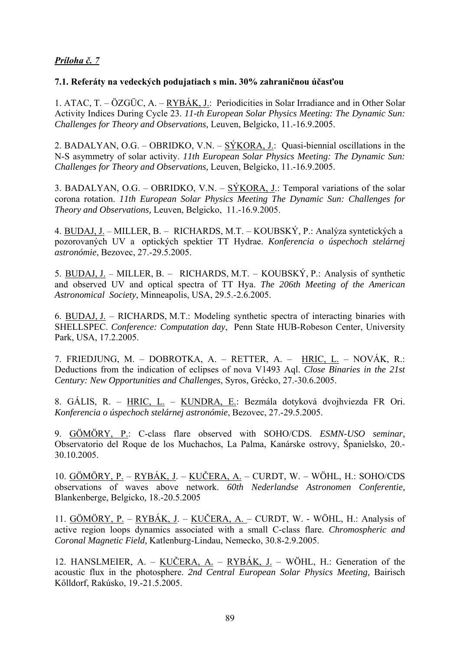## *Príloha č. 7*

## **7.1. Referáty na vedeckých podujatiach s min. 30% zahraničnou účasťou**

1. ATAC, T. – ÖZGÜC, A. – RYBÁK, J.: Periodicities in Solar Irradiance and in Other Solar Activity Indices During Cycle 23. *11-th European Solar Physics Meeting: The Dynamic Sun: Challenges for Theory and Observations,* Leuven, Belgicko, 11.-16.9.2005.

2. BADALYAN, O.G. – OBRIDKO, V.N. – SÝKORA, J.: Quasi-biennial oscillations in the N-S asymmetry of solar activity. *11th European Solar Physics Meeting: The Dynamic Sun: Challenges for Theory and Observations,* Leuven, Belgicko, 11.-16.9.2005.

3. BADALYAN, O.G. – OBRIDKO, V.N. – SÝKORA, J.: Temporal variations of the solar corona rotation. *11th European Solar Physics Meeting The Dynamic Sun: Challenges for Theory and Observations,* Leuven, Belgicko, 11.-16.9.2005.

4. BUDAJ, J. – MILLER, B. – RICHARDS, M.T. – KOUBSKÝ, P.: Analýza syntetických a pozorovaných UV a optických spektier TT Hydrae. *Konferencia o úspechoch stelárnej astronómie*, Bezovec, 27.-29.5.2005.

5. BUDAJ, J. – MILLER, B. – RICHARDS, M.T. – KOUBSKÝ, P.: Analysis of synthetic and observed UV and optical spectra of TT Hya. *The 206th Meeting of the American Astronomical Society*, Minneapolis, USA, 29.5.-2.6.2005.

6. BUDAJ, J. – RICHARDS, M.T.: Modeling synthetic spectra of interacting binaries with SHELLSPEC. *Conference: Computation day*, Penn State HUB-Robeson Center, University Park, USA, 17.2.2005.

7. FRIEDJUNG, M. – DOBROTKA, A. – RETTER, A. – HRIC, L. – NOVÁK, R.: Deductions from the indication of eclipses of nova V1493 Aql. *Close Binaries in the 21st Century: New Opportunities and Challenges*, Syros, Grécko, 27.-30.6.2005.

8. GÁLIS, R. – HRIC, L. – KUNDRA, E.: Bezmála dotyková dvojhviezda FR Ori. *Konferencia o úspechoch stelárnej astronómie*, Bezovec, 27.-29.5.2005.

9. GÖMÖRY, P.: C-class flare observed with SOHO/CDS. *ESMN-USO seminar,* Observatorio del Roque de los Muchachos, La Palma, Kanárske ostrovy, Španielsko, 20.- 30.10.2005.

10. GÖMÖRY, P. – RYBÁK, J. – KUČERA, A. – CURDT, W. – WÖHL, H.: SOHO/CDS observations of waves above network. *60th Nederlandse Astronomen Conferentie,*  Blankenberge, Belgicko*,* 18.-20.5.2005

11. GÖMÖRY, P. – RYBÁK, J. – KUČERA, A. – CURDT, W. - WÖHL, H.: Analysis of active region loops dynamics associated with a small C-class flare. *Chromospheric and Coronal Magnetic Field,* Katlenburg-Lindau, Nemecko, 30.8-2.9.2005.

12. HANSLMEIER, A. – KUČERA, A. – RYBÁK, J. – WÖHL, H.: Generation of the acoustic flux in the photosphere. *2nd Central European Solar Physics Meeting,* Bairisch Kőlldorf, Rakúsko, 19.-21.5.2005.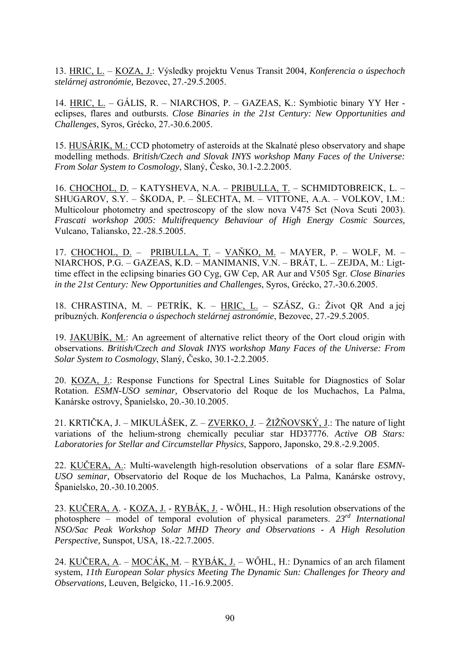13. HRIC, L. – KOZA, J.: Výsledky projektu Venus Transit 2004, *Konferencia o úspechoch stelárnej astronómie,* Bezovec, 27.-29.5.2005.

14. HRIC, L. – GÁLIS, R. – NIARCHOS, P. – GAZEAS, K.: Symbiotic binary YY Her eclipses, flares and outbursts. *Close Binaries in the 21st Century: New Opportunities and Challenges*, Syros, Grécko, 27.-30.6.2005.

15. HUSÁRIK, M.: CCD photometry of asteroids at the Skalnaté pleso observatory and shape modelling methods. *British/Czech and Slovak INYS workshop Many Faces of the Universe: From Solar System to Cosmology*, Slaný, Česko, 30.1-2.2.2005.

16. CHOCHOL, D. – KATYSHEVA, N.A. – PRIBULLA, T. – SCHMIDTOBREICK, L. – SHUGAROV, S.Y. – ŠKODA, P. – ŠLECHTA, M. – VITTONE, A.A. – VOLKOV, I.M.: Multicolour photometry and spectroscopy of the slow nova V475 Sct (Nova Scuti 2003). *Frascati workshop 2005: Multifrequency Behaviour of High Energy Cosmic Sources,*  Vulcano, Taliansko, 22.-28.5.2005.

17. CHOCHOL, D. - PRIBULLA, T. - VAŇKO, M. - MAYER, P. - WOLF, M. -NIARCHOS, P.G. – GAZEAS, K.D. – MANIMANIS, V.N. – BRÁT, L. – ZEJDA, M.: Ligttime effect in the eclipsing binaries GO Cyg, GW Cep, AR Aur and V505 Sgr. *Close Binaries in the 21st Century: New Opportunities and Challenges*, Syros, Grécko, 27.-30.6.2005.

18. CHRASTINA, M. – PETRÍK, K. – HRIC, L. – SZÁSZ, G.: Život QR And a jej príbuzných. *Konferencia o úspechoch stelárnej astronómie*, Bezovec, 27.-29.5.2005.

19. JAKUBÍK, M.: An agreement of alternative relict theory of the Oort cloud origin with observations. *British/Czech and Slovak INYS workshop Many Faces of the Universe: From Solar System to Cosmology*, Slaný, Česko, 30.1-2.2.2005.

20. KOZA, J.: Response Functions for Spectral Lines Suitable for Diagnostics of Solar Rotation. *ESMN-USO seminar,* Observatorio del Roque de los Muchachos, La Palma, Kanárske ostrovy, Španielsko, 20.-30.10.2005.

21. KRTIČKA, J. – MIKULÁŠEK, Z. – ZVERKO, J. – ŽIŽŇOVSKÝ, J.: The nature of light variations of the helium-strong chemically peculiar star HD37776. *Active OB Stars: Laboratories for Stellar and Circumstellar Physics,* Sapporo, Japonsko, 29.8.-2.9.2005.

22. KUČERA, A.: Multi-wavelength high-resolution observations of a solar flare *ESMN-USO seminar,* Observatorio del Roque de los Muchachos, La Palma, Kanárske ostrovy, Španielsko, 20.-30.10.2005.

23. KUČERA, A. - KOZA, J. - RYBÁK, J. - WÖHL, H.: High resolution observations of the photosphere – model of temporal evolution of physical parameters. *23rd International NSO/Sac Peak Workshop Solar MHD Theory and Observations - A High Resolution Perspective,* Sunspot, USA*,* 18.-22.7.2005.

24. KUČERA, A. – MOCÁK, M. – RYBÁK, J. – WŐHL, H.: Dynamics of an arch filament system, *11th European Solar physics Meeting The Dynamic Sun: Challenges for Theory and Observations,* Leuven, Belgicko, 11.-16.9.2005.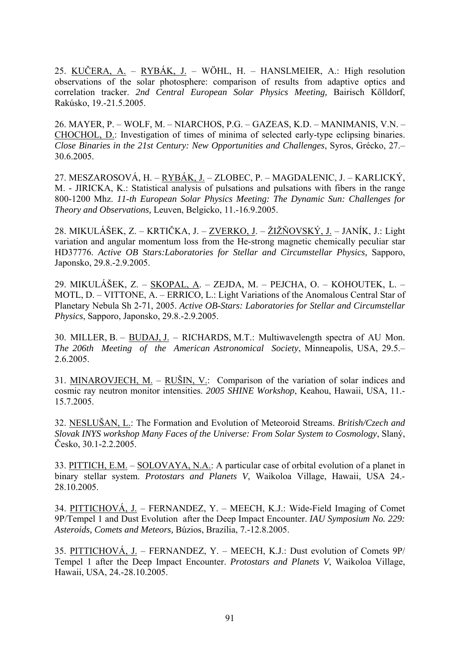25. KUČERA, A. – RYBÁK, J. – WÖHL, H. – HANSLMEIER, A.: High resolution observations of the solar photosphere: comparison of results from adaptive optics and correlation tracker. *2nd Central European Solar Physics Meeting,* Bairisch Kőlldorf, Rakúsko, 19.-21.5.2005.

26. MAYER, P. – WOLF, M. – NIARCHOS, P.G. – GAZEAS, K.D. – MANIMANIS, V.N. – CHOCHOL, D.: Investigation of times of minima of selected early-type eclipsing binaries. *Close Binaries in the 21st Century: New Opportunities and Challenges*, Syros, Grécko, 27.– 30.6.2005.

27. MESZAROSOVÁ, H. – RYBÁK, J. – ZLOBEC, P. – MAGDALENIC, J. – KARLICKÝ, M. - JIRICKA, K.: Statistical analysis of pulsations and pulsations with fibers in the range 800-1200 Mhz. *11-th European Solar Physics Meeting: The Dynamic Sun: Challenges for Theory and Observations,* Leuven, Belgicko, 11.-16.9.2005.

28. MIKULÁŠEK, Z. – KRTIČKA, J. – ZVERKO, J. – ŽIŽŇOVSKÝ, J. – JANÍK, J.: Light variation and angular momentum loss from the He-strong magnetic chemically peculiar star HD37776. *Active OB Stars:Laboratories for Stellar and Circumstellar Physics,* Sapporo, Japonsko, 29.8.-2.9.2005.

29. MIKULÁŠEK, Z. – SKOPAL, A. – ZEJDA, M. – PEJCHA, O. – KOHOUTEK, L. – MOTL, D. – VITTONE, A. – ERRICO, L.: Light Variations of the Anomalous Central Star of Planetary Nebula Sh 2-71, 2005. *Active OB-Stars: Laboratories for Stellar and Circumstellar Physics*, Sapporo, Japonsko, 29.8.-2.9.2005.

30. MILLER, B. – BUDAJ, J. – RICHARDS, M.T.: Multiwavelength spectra of AU Mon. *The 206th Meeting of the American Astronomical Society*, Minneapolis, USA, 29.5.– 2.6.2005.

31. MINAROVJECH, M. – RUŠIN, V.: Comparison of the variation of solar indices and cosmic ray neutron monitor intensities. *2005 SHINE Workshop*, Keahou, Hawaii, USA, 11.- 15.7.2005.

32. NESLUŠAN, L.: The Formation and Evolution of Meteoroid Streams. *British/Czech and Slovak INYS workshop Many Faces of the Universe: From Solar System to Cosmology*, Slaný, Česko, 30.1-2.2.2005.

33. PITTICH, E.M. – SOLOVAYA, N.A.: A particular case of orbital evolution of a planet in binary stellar system. *Protostars and Planets V*, Waikoloa Village, Hawaii, USA 24.- 28.10.2005.

34. PITTICHOVÁ, J. – FERNANDEZ, Y. – MEECH, K.J.: Wide-Field Imaging of Comet 9P/Tempel 1 and Dust Evolution after the Deep Impact Encounter. *IAU Symposium No. 229: Asteroids, Comets and Meteors,* Búzios, Brazília, 7.-12.8.2005.

35. PITTICHOVÁ, J. – FERNANDEZ, Y. – MEECH, K.J.: Dust evolution of Comets 9P/ Tempel 1 after the Deep Impact Encounter. *Protostars and Planets V*, Waikoloa Village, Hawaii, USA, 24.-28.10.2005.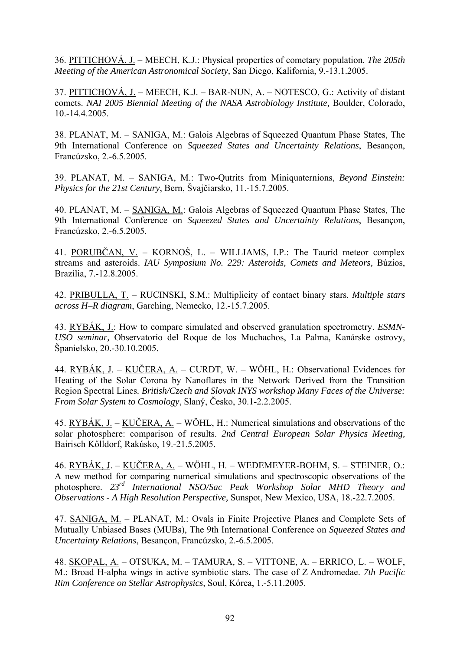36. PITTICHOVÁ, J. – MEECH, K.J.: Physical properties of cometary population. *The 205th Meeting of the American Astronomical Society,* San Diego, Kalifornia, 9.-13.1.2005.

37. PITTICHOVÁ, J. – MEECH, K.J. – BAR-NUN, A. – NOTESCO, G.: Activity of distant comets. *NAI 2005 Biennial Meeting of the NASA Astrobiology Institute,* Boulder, Colorado, 10.-14.4.2005.

38. PLANAT, M. – SANIGA, M.: Galois Algebras of Squeezed Quantum Phase States, The 9th International Conference on *Squeezed States and Uncertainty Relations*, Besançon, Francúzsko, 2.-6.5.2005.

39. PLANAT, M. – SANIGA, M.: Two-Qutrits from Miniquaternions, *Beyond Einstein: Physics for the 21st Century*, Bern, Švajčiarsko, 11.-15.7.2005.

40. PLANAT, M. – SANIGA, M.: Galois Algebras of Squeezed Quantum Phase States, The 9th International Conference on *Squeezed States and Uncertainty Relations*, Besançon, Francúzsko, 2.-6.5.2005.

41. PORUBČAN, V. – KORNOŚ, L. – WILLIAMS, I.P.: The Taurid meteor complex streams and asteroids. *IAU Symposium No. 229: Asteroids, Comets and Meteors,* Búzios, Brazília, 7.-12.8.2005.

42. PRIBULLA, T. – RUCINSKI, S.M.: Multiplicity of contact binary stars. *Multiple stars across H–R diagram*, Garching, Nemecko, 12.-15.7.2005.

43. RYBÁK, J.: How to compare simulated and observed granulation spectrometry. *ESMN-USO seminar,* Observatorio del Roque de los Muchachos, La Palma, Kanárske ostrovy, Španielsko, 20.-30.10.2005.

44. RYBÁK, J. – KUČERA, A. – CURDT, W. – WÖHL, H*.*: Observational Evidences for Heating of the Solar Corona by Nanoflares in the Network Derived from the Transition Region Spectral Lines*. British/Czech and Slovak INYS workshop Many Faces of the Universe: From Solar System to Cosmology*, Slaný, Česko, 30.1-2.2.2005.

45. RYBÁK, J. – KUČERA, A. – WÖHL, H.: Numerical simulations and observations of the solar photosphere: comparison of results. *2nd Central European Solar Physics Meeting,*  Bairisch Kőlldorf, Rakúsko, 19.-21.5.2005.

46. RYBÁK, J. – KUČERA, A. – WÖHL, H. – WEDEMEYER-BOHM, S. – STEINER, O.: A new method for comparing numerical simulations and spectroscopic observations of the photosphere. *23rd International NSO/Sac Peak Workshop Solar MHD Theory and Observations - A High Resolution Perspective,* Sunspot, New Mexico, USA, 18.-22.7.2005.

47. SANIGA, M. – PLANAT, M.: Ovals in Finite Projective Planes and Complete Sets of Mutually Unbiased Bases (MUBs), The 9th International Conference on *Squeezed States and Uncertainty Relations*, Besançon, Francúzsko, 2.-6.5.2005.

48. SKOPAL, A. – OTSUKA, M. – TAMURA, S. – VITTONE, A. – ERRICO, L. – WOLF, M.: Broad H-alpha wings in active symbiotic stars. The case of Z Andromedae. *7th Pacific Rim Conference on Stellar Astrophysics,* Soul, Kórea, 1.-5.11.2005.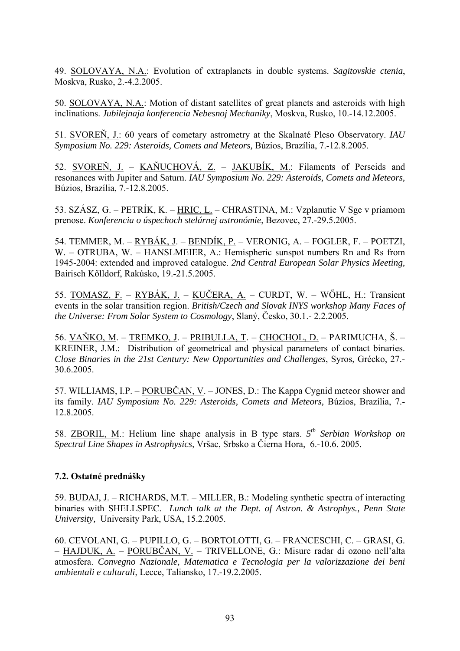49. SOLOVAYA, N.A.: Evolution of extraplanets in double systems. *Sagitovskie ctenia*, Moskva, Rusko, 2.-4.2.2005.

50. SOLOVAYA, N.A.: Motion of distant satellites of great planets and asteroids with high inclinations. *Jubilejnaja konferencia Nebesnoj Mechaniky*, Moskva, Rusko, 10.-14.12.2005.

51. SVOREŇ, J.: 60 years of cometary astrometry at the Skalnaté Pleso Observatory. *IAU Symposium No. 229: Asteroids, Comets and Meteors,* Búzios, Brazília, 7.-12.8.2005.

52. SVOREŇ, J. – KAŇUCHOVÁ, Z. – JAKUBÍK, M.: Filaments of Perseids and resonances with Jupiter and Saturn. *IAU Symposium No. 229: Asteroids, Comets and Meteors,* Búzios, Brazília, 7.-12.8.2005.

53. SZÁSZ, G. – PETRÍK, K. – HRIC, L. – CHRASTINA, M.: Vzplanutie V Sge v priamom prenose. *Konferencia o úspechoch stelárnej astronómie*, Bezovec, 27.-29.5.2005.

54. TEMMER, M. – RYBÁK, J. – BENDÍK, P. – VERONIG, A. – FOGLER, F. – POETZI, W. – OTRUBA, W. – HANSLMEIER, A.: Hemispheric sunspot numbers Rn and Rs from 1945-2004: extended and improved catalogue. *2nd Central European Solar Physics Meeting,*  Bairisch Kőlldorf, Rakúsko, 19.-21.5.2005.

55. TOMASZ, F. – RYBÁK, J. – KUČERA, A. – CURDT, W. – WŐHL, H.: Transient events in the solar transition region. *British/Czech and Slovak INYS workshop Many Faces of the Universe: From Solar System to Cosmology*, Slaný, Česko, 30.1.- 2.2.2005.

56. VAŇKO, M. – TREMKO, J. – PRIBULLA, T. – CHOCHOL, D. – PARIMUCHA, Š. – KREINER, J.M.: Distribution of geometrical and physical parameters of contact binaries. *Close Binaries in the 21st Century: New Opportunities and Challenges*, Syros, Grécko, 27.- 30.6.2005.

57. WILLIAMS, I.P. – PORUBČAN, V. – JONES, D.: The Kappa Cygnid meteor shower and its family. *IAU Symposium No. 229: Asteroids, Comets and Meteors,* Búzios, Brazília, 7.- 12.8.2005.

58. ZBORIL, M.: Helium line shape analysis in B type stars. *5th Serbian Workshop on Spectral Line Shapes in Astrophysics,* Vršac, Srbsko a Čierna Hora, 6.-10.6. 2005.

## **7.2. Ostatné prednášky**

59. BUDAJ, J. – RICHARDS, M.T. – MILLER, B.: Modeling synthetic spectra of interacting binaries with SHELLSPEC. *Lunch talk at the Dept. of Astron. & Astrophys., Penn State University,* University Park, USA, 15.2.2005.

60. CEVOLANI, G. – PUPILLO, G. – BORTOLOTTI, G. – FRANCESCHI, C. – GRASI, G. – HAJDUK, A. – PORUBČAN, V. – TRIVELLONE, G.: Misure radar di ozono nell'alta atmosfera. *Convegno Nazionale, Matematica e Tecnologia per la valorizzazione dei beni ambientali e culturali*, Lecce, Taliansko, 17.-19.2.2005.